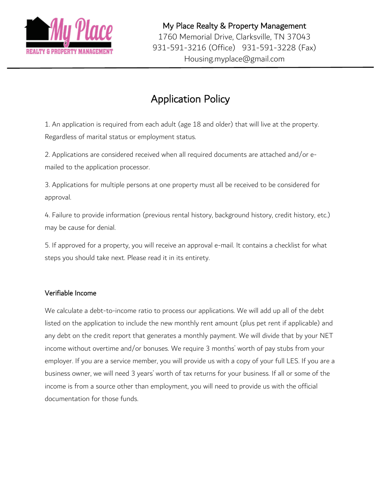

# Application Policy

1. An application is required from each adult (age 18 and older) that will live at the property. Regardless of marital status or employment status.

2. Applications are considered received when all required documents are attached and/or emailed to the application processor.

3. Applications for multiple persons at one property must all be received to be considered for approval.

4. Failure to provide information (previous rental history, background history, credit history, etc.) may be cause for denial.

5. If approved for a property, you will receive an approval e-mail. It contains a checklist for what steps you should take next. Please read it in its entirety.

# Verifiable Income

We calculate a debt-to-income ratio to process our applications. We will add up all of the debt listed on the application to include the new monthly rent amount (plus pet rent if applicable) and any debt on the credit report that generates a monthly payment. We will divide that by your NET income without overtime and/or bonuses. We require 3 months' worth of pay stubs from your employer. If you are a service member, you will provide us with a copy of your full LES. If you are a business owner, we will need 3 years' worth of tax returns for your business. If all or some of the income is from a source other than employment, you will need to provide us with the official documentation for those funds.